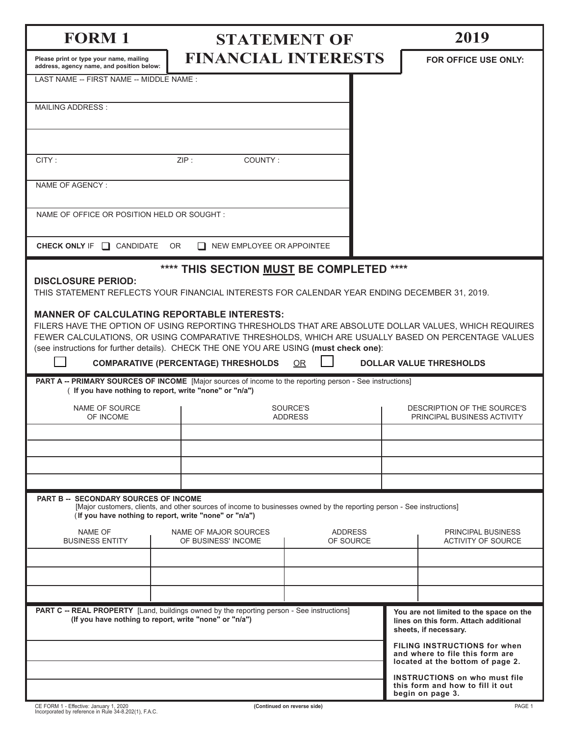| <b>FORM 1</b>                                                                                                                                                                                                                                                                                                                                            |                                                                                                                        | <b>STATEMENT OF</b>         |                                                                                              |                                                            | 2019                                                                                                       |  |
|----------------------------------------------------------------------------------------------------------------------------------------------------------------------------------------------------------------------------------------------------------------------------------------------------------------------------------------------------------|------------------------------------------------------------------------------------------------------------------------|-----------------------------|----------------------------------------------------------------------------------------------|------------------------------------------------------------|------------------------------------------------------------------------------------------------------------|--|
| Please print or type your name, mailing<br>address, agency name, and position below:                                                                                                                                                                                                                                                                     | <b>FINANCIAL INTERESTS</b>                                                                                             |                             |                                                                                              |                                                            | <b>FOR OFFICE USE ONLY:</b>                                                                                |  |
| LAST NAME -- FIRST NAME -- MIDDLE NAME :                                                                                                                                                                                                                                                                                                                 |                                                                                                                        |                             |                                                                                              |                                                            |                                                                                                            |  |
| <b>MAILING ADDRESS:</b>                                                                                                                                                                                                                                                                                                                                  |                                                                                                                        |                             |                                                                                              |                                                            |                                                                                                            |  |
|                                                                                                                                                                                                                                                                                                                                                          |                                                                                                                        |                             |                                                                                              |                                                            |                                                                                                            |  |
| CITY:<br>ZIP:<br>COUNTY:                                                                                                                                                                                                                                                                                                                                 |                                                                                                                        |                             |                                                                                              |                                                            |                                                                                                            |  |
| NAME OF AGENCY:                                                                                                                                                                                                                                                                                                                                          |                                                                                                                        |                             |                                                                                              |                                                            |                                                                                                            |  |
| NAME OF OFFICE OR POSITION HELD OR SOUGHT:                                                                                                                                                                                                                                                                                                               |                                                                                                                        |                             |                                                                                              |                                                            |                                                                                                            |  |
|                                                                                                                                                                                                                                                                                                                                                          |                                                                                                                        |                             |                                                                                              |                                                            |                                                                                                            |  |
| CHECK ONLY IF $\Box$<br><b>CANDIDATE</b>                                                                                                                                                                                                                                                                                                                 | OR.<br>NEW EMPLOYEE OR APPOINTEE                                                                                       |                             |                                                                                              |                                                            |                                                                                                            |  |
| <b>DISCLOSURE PERIOD:</b>                                                                                                                                                                                                                                                                                                                                | **** THIS SECTION MUST BE COMPLETED ****                                                                               |                             |                                                                                              |                                                            |                                                                                                            |  |
| THIS STATEMENT REFLECTS YOUR FINANCIAL INTERESTS FOR CALENDAR YEAR ENDING DECEMBER 31, 2019.                                                                                                                                                                                                                                                             |                                                                                                                        |                             |                                                                                              |                                                            |                                                                                                            |  |
| <b>MANNER OF CALCULATING REPORTABLE INTERESTS:</b><br>FILERS HAVE THE OPTION OF USING REPORTING THRESHOLDS THAT ARE ABSOLUTE DOLLAR VALUES, WHICH REQUIRES<br>FEWER CALCULATIONS, OR USING COMPARATIVE THRESHOLDS, WHICH ARE USUALLY BASED ON PERCENTAGE VALUES<br>(see instructions for further details). CHECK THE ONE YOU ARE USING (must check one): |                                                                                                                        |                             |                                                                                              |                                                            |                                                                                                            |  |
|                                                                                                                                                                                                                                                                                                                                                          | <b>COMPARATIVE (PERCENTAGE) THRESHOLDS</b>                                                                             | <b>OR</b>                   |                                                                                              |                                                            | <b>DOLLAR VALUE THRESHOLDS</b>                                                                             |  |
| PART A -- PRIMARY SOURCES OF INCOME [Major sources of income to the reporting person - See instructions]<br>(If you have nothing to report, write "none" or "n/a")                                                                                                                                                                                       |                                                                                                                        |                             |                                                                                              |                                                            |                                                                                                            |  |
| NAME OF SOURCE<br>OF INCOME                                                                                                                                                                                                                                                                                                                              |                                                                                                                        | SOURCE'S<br><b>ADDRESS</b>  |                                                                                              | DESCRIPTION OF THE SOURCE'S<br>PRINCIPAL BUSINESS ACTIVITY |                                                                                                            |  |
|                                                                                                                                                                                                                                                                                                                                                          |                                                                                                                        |                             |                                                                                              |                                                            |                                                                                                            |  |
|                                                                                                                                                                                                                                                                                                                                                          |                                                                                                                        |                             |                                                                                              |                                                            |                                                                                                            |  |
|                                                                                                                                                                                                                                                                                                                                                          |                                                                                                                        |                             |                                                                                              |                                                            |                                                                                                            |  |
| <b>PART B -- SECONDARY SOURCES OF INCOME</b><br>(If you have nothing to report, write "none" or "n/a")                                                                                                                                                                                                                                                   | [Major customers, clients, and other sources of income to businesses owned by the reporting person - See instructions] |                             |                                                                                              |                                                            |                                                                                                            |  |
| <b>NAME OF</b><br>NAME OF MAJOR SOURCES<br><b>BUSINESS ENTITY</b><br>OF BUSINESS' INCOME                                                                                                                                                                                                                                                                 |                                                                                                                        | <b>ADDRESS</b><br>OF SOURCE |                                                                                              |                                                            | PRINCIPAL BUSINESS<br><b>ACTIVITY OF SOURCE</b>                                                            |  |
|                                                                                                                                                                                                                                                                                                                                                          |                                                                                                                        |                             |                                                                                              |                                                            |                                                                                                            |  |
|                                                                                                                                                                                                                                                                                                                                                          |                                                                                                                        |                             |                                                                                              |                                                            |                                                                                                            |  |
| PART C -- REAL PROPERTY [Land, buildings owned by the reporting person - See instructions]<br>(If you have nothing to report, write "none" or "n/a")                                                                                                                                                                                                     |                                                                                                                        |                             |                                                                                              |                                                            | You are not limited to the space on the<br>lines on this form. Attach additional<br>sheets, if necessary.  |  |
|                                                                                                                                                                                                                                                                                                                                                          |                                                                                                                        |                             |                                                                                              |                                                            | <b>FILING INSTRUCTIONS for when</b><br>and where to file this form are<br>located at the bottom of page 2. |  |
|                                                                                                                                                                                                                                                                                                                                                          |                                                                                                                        |                             | <b>INSTRUCTIONS on who must file</b><br>this form and how to fill it out<br>begin on page 3. |                                                            |                                                                                                            |  |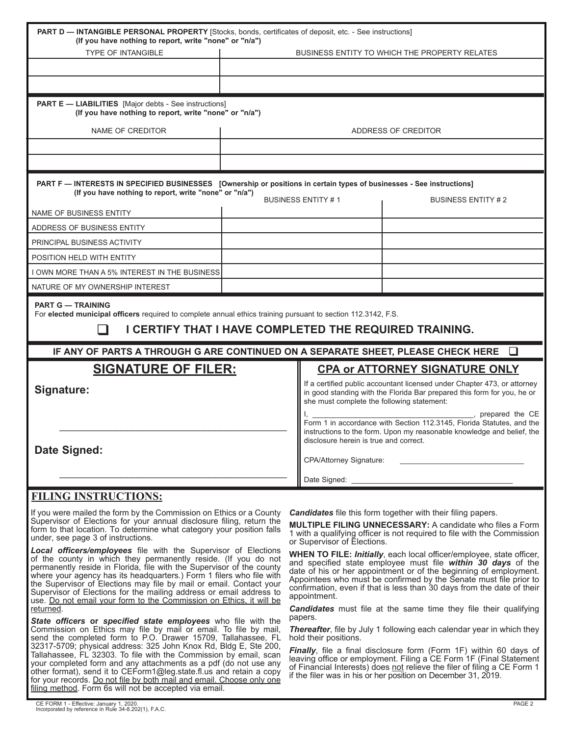| <b>PART D - INTANGIBLE PERSONAL PROPERTY</b> [Stocks, bonds, certificates of deposit, etc. - See instructions]<br>(If you have nothing to report, write "none" or "n/a")<br><b>TYPE OF INTANGIBLE</b>                                                                                                                                                                                                                                                                                                               | BUSINESS ENTITY TO WHICH THE PROPERTY RELATES                                                                                                                                                                                                                                                                                                                                                                                                       |  |  |  |
|---------------------------------------------------------------------------------------------------------------------------------------------------------------------------------------------------------------------------------------------------------------------------------------------------------------------------------------------------------------------------------------------------------------------------------------------------------------------------------------------------------------------|-----------------------------------------------------------------------------------------------------------------------------------------------------------------------------------------------------------------------------------------------------------------------------------------------------------------------------------------------------------------------------------------------------------------------------------------------------|--|--|--|
|                                                                                                                                                                                                                                                                                                                                                                                                                                                                                                                     |                                                                                                                                                                                                                                                                                                                                                                                                                                                     |  |  |  |
|                                                                                                                                                                                                                                                                                                                                                                                                                                                                                                                     |                                                                                                                                                                                                                                                                                                                                                                                                                                                     |  |  |  |
| <b>PART E - LIABILITIES</b> [Major debts - See instructions]<br>(If you have nothing to report, write "none" or "n/a")                                                                                                                                                                                                                                                                                                                                                                                              |                                                                                                                                                                                                                                                                                                                                                                                                                                                     |  |  |  |
| NAME OF CREDITOR                                                                                                                                                                                                                                                                                                                                                                                                                                                                                                    | ADDRESS OF CREDITOR                                                                                                                                                                                                                                                                                                                                                                                                                                 |  |  |  |
|                                                                                                                                                                                                                                                                                                                                                                                                                                                                                                                     |                                                                                                                                                                                                                                                                                                                                                                                                                                                     |  |  |  |
|                                                                                                                                                                                                                                                                                                                                                                                                                                                                                                                     |                                                                                                                                                                                                                                                                                                                                                                                                                                                     |  |  |  |
| PART F - INTERESTS IN SPECIFIED BUSINESSES [Ownership or positions in certain types of businesses - See instructions]<br>(If you have nothing to report, write "none" or "n/a")                                                                                                                                                                                                                                                                                                                                     | <b>BUSINESS ENTITY #1</b><br><b>BUSINESS ENTITY #2</b>                                                                                                                                                                                                                                                                                                                                                                                              |  |  |  |
| NAME OF BUSINESS ENTITY                                                                                                                                                                                                                                                                                                                                                                                                                                                                                             |                                                                                                                                                                                                                                                                                                                                                                                                                                                     |  |  |  |
| ADDRESS OF BUSINESS ENTITY                                                                                                                                                                                                                                                                                                                                                                                                                                                                                          |                                                                                                                                                                                                                                                                                                                                                                                                                                                     |  |  |  |
| PRINCIPAL BUSINESS ACTIVITY                                                                                                                                                                                                                                                                                                                                                                                                                                                                                         |                                                                                                                                                                                                                                                                                                                                                                                                                                                     |  |  |  |
| POSITION HELD WITH ENTITY                                                                                                                                                                                                                                                                                                                                                                                                                                                                                           |                                                                                                                                                                                                                                                                                                                                                                                                                                                     |  |  |  |
| OWN MORE THAN A 5% INTEREST IN THE BUSINESS                                                                                                                                                                                                                                                                                                                                                                                                                                                                         |                                                                                                                                                                                                                                                                                                                                                                                                                                                     |  |  |  |
| NATURE OF MY OWNERSHIP INTEREST                                                                                                                                                                                                                                                                                                                                                                                                                                                                                     |                                                                                                                                                                                                                                                                                                                                                                                                                                                     |  |  |  |
| <b>PART G - TRAINING</b><br>For elected municipal officers required to complete annual ethics training pursuant to section 112.3142, F.S.                                                                                                                                                                                                                                                                                                                                                                           | I CERTIFY THAT I HAVE COMPLETED THE REQUIRED TRAINING.                                                                                                                                                                                                                                                                                                                                                                                              |  |  |  |
| IF ANY OF PARTS A THROUGH G ARE CONTINUED ON A SEPARATE SHEET, PLEASE CHECK HERE                                                                                                                                                                                                                                                                                                                                                                                                                                    | ⊔                                                                                                                                                                                                                                                                                                                                                                                                                                                   |  |  |  |
| <b>SIGNATURE OF FILER:</b>                                                                                                                                                                                                                                                                                                                                                                                                                                                                                          | <b>CPA or ATTORNEY SIGNATURE ONLY</b>                                                                                                                                                                                                                                                                                                                                                                                                               |  |  |  |
| Signature:                                                                                                                                                                                                                                                                                                                                                                                                                                                                                                          | If a certified public accountant licensed under Chapter 473, or attorney<br>in good standing with the Florida Bar prepared this form for you, he or<br>she must complete the following statement:                                                                                                                                                                                                                                                   |  |  |  |
|                                                                                                                                                                                                                                                                                                                                                                                                                                                                                                                     | prepared the CE<br>Form 1 in accordance with Section 112.3145, Florida Statutes, and the<br>instructions to the form. Upon my reasonable knowledge and belief, the<br>disclosure herein is true and correct.                                                                                                                                                                                                                                        |  |  |  |
| Date Signed:                                                                                                                                                                                                                                                                                                                                                                                                                                                                                                        | <b>CPA/Attorney Signature:</b>                                                                                                                                                                                                                                                                                                                                                                                                                      |  |  |  |
|                                                                                                                                                                                                                                                                                                                                                                                                                                                                                                                     |                                                                                                                                                                                                                                                                                                                                                                                                                                                     |  |  |  |
|                                                                                                                                                                                                                                                                                                                                                                                                                                                                                                                     | Date Signed:                                                                                                                                                                                                                                                                                                                                                                                                                                        |  |  |  |
| <b>FILING INSTRUCTIONS:</b><br>If you were mailed the form by the Commission on Ethics or a County<br>Supervisor of Elections for your annual disclosure filing, return the<br>form to that location. To determine what category your position falls<br>under, see page 3 of instructions.                                                                                                                                                                                                                          | <b>Candidates</b> file this form together with their filing papers.<br><b>MULTIPLE FILING UNNECESSARY: A candidate who files a Form</b><br>1 with a qualifying officer is not required to file with the Commission<br>or Supervisor of Elections.                                                                                                                                                                                                   |  |  |  |
| Local officers/employees file with the Supervisor of Elections<br>of the county in which they permanently reside. (If you do not<br>permanently reside in Florida, file with the Supervisor of the county<br>where your agency has its headquarters.) Form 1 filers who file with<br>the Supervisor of Elections may file by mail or email. Contact your<br>Supervisor of Elections for the mailing address or email address to<br>use. Do not email your form to the Commission on Ethics, it will be<br>returned. | WHEN TO FILE: Initially, each local officer/employee, state officer,<br>and specified state employee must file within 30 days of the<br>date of his or her appointment or of the beginning of employment.<br>Appointees who must be confirmed by the Senate must file prior to<br>confirmation, even if that is less than 30 days from the date of their<br>appointment.<br><b>Candidates</b> must file at the same time they file their qualifying |  |  |  |
| State officers or specified state employees who file with the<br>Commission on Ethics may file by mail or email. To file by mail,<br>send the completed form to P.O. Drawer 15709, Tallahassee, FL                                                                                                                                                                                                                                                                                                                  | papers.<br><b>Thereafter</b> , file by July 1 following each calendar year in which they<br>hold their positions.                                                                                                                                                                                                                                                                                                                                   |  |  |  |
| 32317-5709; physical address: 325 John Knox Rd, Bldg E, Ste 200,<br>Tallahassee, FL 32303. To file with the Commission by email, scan<br>your completed form and any attachments as a pdf (do not use any<br>other format), send it to CEForm1@leg.state.fl.us and retain a copy<br>for your records. Do not file by both mail and email. Choose only one                                                                                                                                                           | Finally, file a final disclosure form (Form 1F) within 60 days of<br>leaving office or employment. Filing a CE Form 1F (Final Statement<br>of Financial Interests) does not relieve the filer of filing a CE Form 1<br>if the filer was in his or her position on December 31, 2019.                                                                                                                                                                |  |  |  |

filing method. Form 6s will not be accepted via email.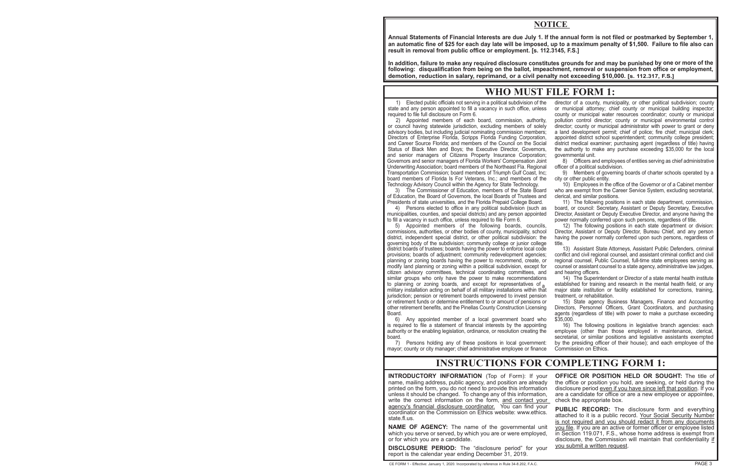## **NOTICE**

**Annual Statements of Financial Interests are due July 1. If the annual form is not filed or postmarked by September 1, an automatic fine of \$25 for each day late will be imposed, up to a maximum penalty of \$1,500. Failure to file also can result in removal from public office or employment. [s. 112.3145, F.S.]**

**In addition, failure to make any required disclosure constitutes grounds for and may be punished by one or more of the following: disqualification from being on the ballot, impeachment, removal or suspension from office or employment, demotion, reduction in salary, reprimand, or a civil penalty not exceeding \$10,000. [s. 112.317, F.S.]**

# **WHO MUST FILE FORM 1:**

1) Elected public officials not serving in a political subdivision of the director of a county, municipality, or other political subdivision; county required to file full disclosure on Form 6. county or municipal water resources coordinator; county or municipal

or council having statewide jurisdiction, excluding members of solely advisory bodies, but including judicial nominating commission members; advisory bodies, but including judicial nominating commission members; a land development permit; chief of police; fire chief; municipal clerk;<br>Directors of Enterprise Florida, Scripps Florida Funding Corporation, appointe and Career Source Florida; and members of the Council on the Social district medical examiner; purchasing agent (regardless of title) having Status of Black Men and Boys; the Executive Director, Governors, and senior managers of Citizens Property Insurance Corporation; governmental unit.<br>Governors and senior managers of Florida Workers' Compensation Joint 8) Officers and employees of entities serving as chief administrative Governors and senior managers of Florida Workers' Compensation Joint Underwriting Association; board members of the Northeast Fla. Regional officer of a political subdivision.<br>Transportation Commission; board members of Triumph Gulf Coast, Inc; 9) Members of governing boards of charter scho Transportation Commission; board members of Triumph Gulf Coast, Inc; board members of Florida Is For Veterans, Inc.; and members of the city or other public entity.<br>Technology Advisory Council within the Agency for State Technology. [10] Employees in the office of the Governor or of a Cabin Technology Advisory Council within the Agency for State Technology.

of Education, the Board of Governors, the local Boards of Trustees and clerical, and similar positions.<br>Presidents of state universities, and the Florida Prepaid College Board. [11] The following positions in each state de

Presidents of state universities, and the Florida Prepaid College Board.<br>11) Persons elected to office in any political subdivision (such as municipalities, counties, and special districts) and any person appointed to fill a vacancy in such office, unless required to file Form 6.

commissions, authorities, or other bodies of county, municipality, school Director, Assistant or Deputy Director, Bureau Chief, and any person district, independent special district, or other political subdivision: the hav district, independent special district, or other political subdivision: the governing body of the subdivision; community college or junior college title.<br>district boards of trustees; boards having the power to enforce local code provisions; boards of adjustment; community redevelopment agencies; conflict and civil regional counsel, and assistant criminal conflict and civil<br>planning or zoning boards having the power to recommend, create, or ergiona planning or zoning boards having the power to recommend, create, or modify land planning or zoning within a political subdivision, except for citizen advisory committees, technical coordinating committees, and and hearing officers.<br>similar groups who only have the power to make recommendations 14) The Superintendent or Director of a state mental health institute similar groups who only have the power to make recommendations  $14$ ) The Superintendent or Director of a state mental health institute to planning or zoning boards, and except for representatives of  $\alpha$  established for t to planning or zoning boards, and except for representatives of<sub>a</sub>established for training and research in the mental health field, or any<br>military installation acting on behalf of all military installations within that ma jurisdiction; pension or retirement boards empowered to invest pension treatment, or rehabilitation.<br>
or retirement funds or determine entitlement to or amount of pensions or  $15)$  State agency Bus other retirement benefits, and the Pinellas County Construction Licensing Board.

6) Any appointed member of a local government board who \$35,000. authority or the enabling legislation, ordinance, or resolution creating the employee (other than those employed in maintenance, clerical, board.

mayor; county or city manager; chief administrative employee or finance Commission on Ethics.

or municipal attorney; chief county or municipal building inspector; 2) Appointed members of each board, commission, authority, pollution control director; county or municipal environmental control appointed district school superintendent; community college president;

3) The Commissioner of Education, members of the State Board who are exempt from the Career Service System, excluding secretarial,

board, or council: Secretary, Assistant or Deputy Secretary, Executive Director, Assistant or Deputy Executive Director, and anyone having the

power normally conferred upon such persons, regardless of title.<br>12) The following positions in each state department or division: 5) Appointed members of the following boards, councils, 12) The following positions in each state department or division:<br>nmissions, authorities, or other bodies of county, municipality, school Director, Assistant or Deput

13) Assistant State Attorneys, Assistant Public Defenders, criminal counsel or assistant counsel to a state agency, administrative law judges,

15) State agency Business Managers, Finance and Accounting Directors, Personnel Officers, Grant Coordinators, and purchasing agents (regardless of title) with power to make a purchase exceeding

16) The following positions in legislative branch agencies: each secretarial, or similar positions and legislative assistants exempted<br>Persons holding any of these positions in local government: by the presiding officer of their house); and each employee of the 7) Persons holding any of these positions in local government: by the presiding officer of their house); and each employee of the

# **INSTRUCTIONS FOR COMPLETING FORM 1:**

**INTRODUCTORY INFORMATION** (Top of Form): If your **INTRODUCTORY INFORMATION** (Top of Form): If your **OFFICE OR POSITION HELD OR SOUGHT:** The title of name, mailing address, public agency, and position are already the office or position you hold, are seeking, or held durin name, mailing address, public agency, and position are already the office or position you hold, are seeking, or held during the printed on the form, you do not need to provide this information disclosure period even if you unless it should be changed. To change any of this information, are a candidate for office or are a new employee or appointee, write the correct information on the form, and contact your check the appropriate box. agency's financial disclosure coordinator. You can find your<br>coordinator on the Commission on Ethics website: www.ethics.

**NAME OF AGENCY:** The name of the governmental unit you file. If you are an active or former officer or employee listed which you are or were employed, in Section 119.071, F.S., whose home address is exempt from or for which you are a candidate.  $\Box$  disclosure, the Commission will maintain that confidentiality if

**DISCLOSURE PERIOD:** The "disclosure period" for your you submit a written request. report is the calendar year ending December 31, 2019.

disclosure period <u>even if you have since left that position</u>. If you

PUBLIC RECORD: The disclosure form and everything attached to it is a public record. Your Social Security Number<br>state.fl.us.<br>**NAME OF AGENCY:** The name of the governmental unit you file. If you are an active or former officer or employee listed in Section 119.071, F.S., whose home address is exempt from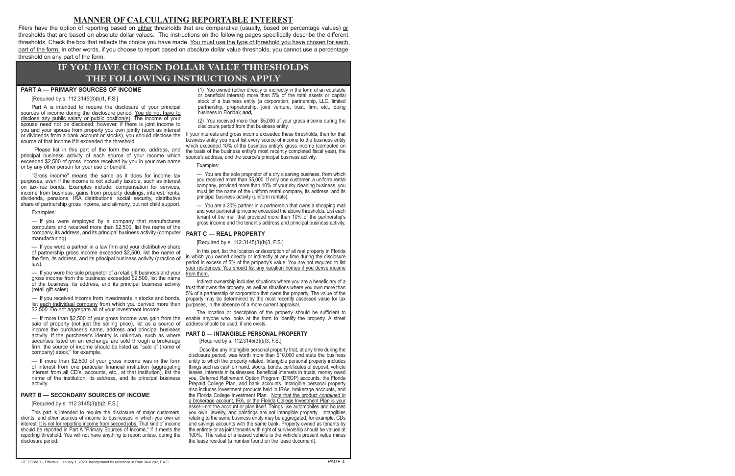## **MANNER OF CALCULATING REPORTABLE INTEREST**

Filers have the option of reporting based on either thresholds that are comparative (usually, based on percentage values) or thresholds that are based on absolute dollar values. The instructions on the following pages specifically describe the different thresholds. Check the box that reflects the choice you have made. You must use the type of threshold you have chosen for each part of the form. In other words, if you choose to report based on absolute dollar value thresholds, you cannot use a percentage threshold on any part of the form.

# **IF YOU HAVE CHOSEN DOLLAR VALUE THRESHOLDS THE FOLLOWING INSTRUCTIONS APPLY**

### **PART A — PRIMARY SOURCES OF INCOME**

[Required by s. 112.3145(3)(b)1, F.S.]

Part A is intended to require the disclosure of your principal sources of income during the disclosure period. You do not have to disclose any public salary or public position(s). The income of your spouse need not be disclosed; however, if there is joint income to you and your spouse from property you own jointly (such as interest or dividends from a bank account or stocks), you should disclose the source of that income if it exceeded the threshold.

Please list in this part of the form the name, address, and principal business activity of each source of your income which exceeded \$2,500 of gross income received by you in your own name or by any other person for your use or benefit.

"Gross income" means the same as it does for income tax purposes, even if the income is not actually taxable, such as interest on tax-free bonds. Examples include: compensation for services, income from business, gains from property dealings, interest, rents, dividends, pensions, IRA distributions, social security, distributive share of partnership gross income, and alimony, but not child support.

Examples:

— If you were employed by a company that manufactures computers and received more than \$2,500, list the name of the company, its address, and its principal business activity (computer manufacturing).

— If you were a partner in a law firm and your distributive share of partnership gross income exceeded \$2,500, list the name of the firm, its address, and its principal business activity (practice of law).

— If you were the sole proprietor of a retail gift business and your gross income from the business exceeded \$2,500, list the name of the business, its address, and its principal business activity (retail gift sales).

— If you received income from investments in stocks and bonds, list each individual company from which you derived more than \$2,500. Do not aggregate all of your investment income.

— If more than \$2,500 of your gross income was gain from the sale of property (not just the selling price), list as a source of income the purchaser's name, address and principal business activity. If the purchaser's identity is unknown, such as where securities listed on an exchange are sold through a brokerage firm, the source of income should be listed as "sale of (name of company) stock," for example.

If more than \$2,500 of your gross income was in the form of interest from one particular financial institution (aggregating interest from all CD's, accounts, etc., at that institution), list the name of the institution, its address, and its principal business activity.

### **PART B — SECONDARY SOURCES OF INCOME**

[Required by s. 112.3145(3)(b)2, F.S.]

This part is intended to require the disclosure of major customers, clients, and other sources of income to businesses in which you own an interest. It is not for reporting income from second jobs. That kind of income should be reported in Part A "Primary Sources of Income," if it meets the reporting threshold. You will not have anything to report unless, during the disclosure period:

(1) You owned (either directly or indirectly in the form of an equitable or beneficial interest) more than 5% of the total assets or capital stock of a business entity (a corporation, partnership, LLC, limited partnership, proprietorship, joint venture, trust, firm, etc., doing business in Florida); *and,* 

(2) You received more than \$5,000 of your gross income during the disclosure period from that business entity.

If your interests and gross income exceeded these thresholds, then for that business entity you must list every source of income to the business entity which exceeded 10% of the business entity's gross income (computed on the basis of the business entity's most recently completed fiscal year), the source's address, and the source's principal business activity.

Examples:

— You are the sole proprietor of a dry cleaning business, from which you received more than \$5,000. If only one customer, a uniform rental company, provided more than 10% of your dry cleaning business, you must list the name of the uniform rental company, its address, and its principal business activity (uniform rentals).

— You are a 20% partner in a partnership that owns a shopping mall and your partnership income exceeded the above thresholds. List each tenant of the mall that provided more than 10% of the partnership's gross income and the tenant's address and principal business activity.

### **PART C — REAL PROPERTY**

[Required by s. 112.3145(3)(b)3, F.S.]

In this part, list the location or description of all real property in Florida in which you owned directly or indirectly at any time during the disclosure period in excess of 5% of the property's value. You are not required to list your residences. You should list any vacation homes if you derive income <u>from them.</u>

Indirect ownership includes situations where you are a beneficiary of a trust that owns the property, as well as situations where you own more than 5% of a partnership or corporation that owns the property. The value of the property may be determined by the most recently assessed value for tax purposes, in the absence of a more current appraisal.

The location or description of the property should be sufficient to enable anyone who looks at the form to identify the property. A street address should be used, if one exists.

### **PART D — INTANGIBLE PERSONAL PROPERTY**

[Required by s. 112.3145(3)(b)3, F.S.]

Describe any intangible personal property that, at any time during the disclosure period, was worth more than \$10,000 and state the business entity to which the property related. Intangible personal property includes things such as cash on hand, stocks, bonds, certificates of deposit, vehicle leases, interests in businesses, beneficial interests in trusts, money owed you, Deferred Retirement Option Program (DROP) accounts, the Florida Prepaid College Plan, and bank accounts. Intangible personal property also includes investment products held in IRAs, brokerage accounts, and the Florida College Investment Plan. Note that the product *contained in*  a brokerage account, IRA, or the Florida College Investment Plan is your asset—not the account or plan itself. Things like automobiles and houses you own, jewelry, and paintings are not intangible property. Intangibles relating to the same business entity may be aggregated; for example, CDs and savings accounts with the same bank. Property owned as tenants by the entirety or as joint tenants with right of survivorship should be valued at 100%. The value of a leased vehicle is the vehicle's present value minus the lease residual (a number found on the lease document).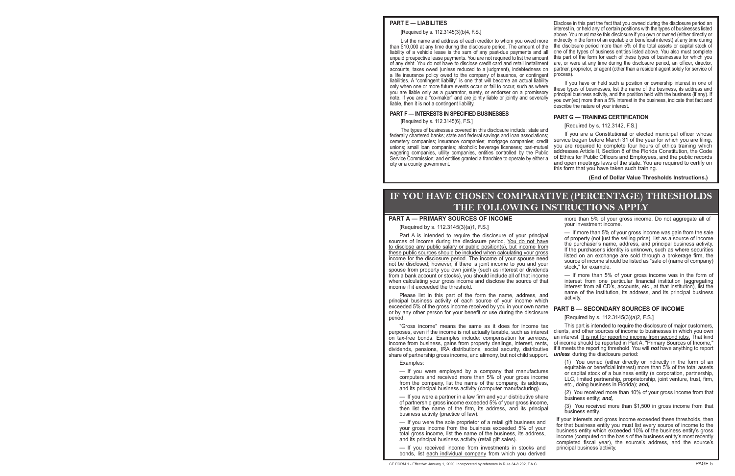### **PART E — LIABILITIES**

[Required by s. 112.3145(3)(b)4, F.S.]

List the name and address of each creditor to whom you owed more than \$10,000 at any time during the disclosure period. The amount of the liability of a vehicle lease is the sum of any past-due payments and all unpaid prospective lease payments. You are not required to list the amount of any debt. You do not have to disclose credit card and retail installment accounts, taxes owed (unless reduced to a judgment), indebtedness on a life insurance policy owed to the company of issuance, or contingent liabilities. A "contingent liability" is one that will become an actual liability only when one or more future events occur or fail to occur, such as where you are liable only as a guarantor, surety, or endorser on a promissory note. If you are a "co-maker" and are jointly liable or jointly and severally liable, then it is not a contingent liability.

### **PART F — INTERESTS IN SPECIFIED BUSINESSES**

[Required by s. 112.3145(6), F.S.]

The types of businesses covered in this disclosure include: state and federally chartered banks; state and federal savings and loan associations; cemetery companies; insurance companies; mortgage companies; credit unions; small loan companies; alcoholic beverage licensees; pari-mutuel wagering companies, utility companies, entities controlled by the Public Service Commission; and entities granted a franchise to operate by either a city or a county government.

Disclose in this part the fact that you owned during the disclosure period an interest in, or held any of certain positions with the types of businesses listed above. You must make this disclosure if you own or owned (either directly or indirectly in the form of an equitable or beneficial interest) at any time during the disclosure period more than 5% of the total assets or capital stock of one of the types of business entities listed above. You also must complete this part of the form for each of these types of businesses for which you are, or were at any time during the disclosure period, an officer, director, partner, proprietor, or agent (other than a resident agent solely for service of process).

If you have or held such a position or ownership interest in one of these types of businesses, list the name of the business, its address and principal business activity, and the position held with the business (if any). If you own(ed) more than a 5% interest in the business, indicate that fact and describe the nature of your interest.

### **PART G — TRAINING CERTIFICATION**

### [Required by s. 112.3142, F.S.]

If you are a Constitutional or elected municipal officer whose service began before March 31 of the year for which you are filing, you are required to complete four hours of ethics training which addresses Article II, Section 8 of the Florida Constitution, the Code of Ethics for Public Officers and Employees, and the public records and open meetings laws of the state. You are required to certify on this form that you have taken such training.

**(End of Dollar Value Thresholds Instructions.)**

# **IF YOU HAVE CHOSEN COMPARATIVE (PERCENTAGE) THRESHOLDS THE FOLLOWING INSTRUCTIONS APPLY**

### **PART A - PRIMARY SOURCES OF INCOME**

[Required by s. 112.3145(3)(a)1, F.S.]

Part A is intended to require the disclosure of your principal<br>sources of income during the disclosure period. <u>You do not have</u><br>to disclose any public salary or public position(s), but income from<br>these public sources sho from a bank account or stocks), you should include all of that income — If more than 5% of your gross income was in the form of when calculating your gross income and disclose the source of that interest from one particula when calculating your gross income and disclose the source of that income if it exceeded the threshold.

Please list in this part of the form the name, address, and its reach principal business activity of each source of your income which activity. exceeded 5% of the gross income received by you in your own name **PART B — SECONDARY SOURCES OF INCOME** or by any other person for your benefit or use during the disclosure period. [Required by s. 112.3145(3)(a)2, F.S.]

purposes, even if the income is not actually taxable, such as interest clients, and other sources of income to businesses in which you own<br>on tax-free bonds. Examples include: compensation for services, an interest. It is on tax-free bonds. Examples include: compensation for services, income from business, gains from property dealings, interest, rents, of income should be reported in Part A, "Primary Sources of Income," dividends, pensions, IRA distributions, social security, distributive if it meets the reporting threshold. You will *not* have anything to report share of partnership gross income, and alimony, but not child support. *unless* during the disclosure period:

— If you received income from investments in stocks and principal business activity. bonds, list each individual company from which you derived

more than 5% of your gross income. Do not aggregate all of your investment income.

Part A is intended to require the disclosure of your principal  $-$  If more than 5% of your gross income was gain from the sale<br>Real of income during the disclosure pariod. You do not have of property (not just the selling

interest from all CD's, accounts, etc., at that institution), list the

"Gross income" means the same as it does for income tax \_\_\_\_\_\_\_\_\_\_\_\_\_\_\_\_\_\_\_\_\_\_\_\_\_<br>oses even if the income is not actually taxable, such as interest \_\_clients, and other sources of income to businesses in which you own

Examples:<br>  $\begin{array}{lllllllllllllllllllllllllllllllllll} \end{array}$ <br>  $\begin{array}{lllllllllllllllllllll} \end{array}$ <br>  $\begin{array}{lllllllllllllllll} \end{array}$  H you were employed by a company that manufactures<br>
computers and received more than 5% of your gross income<br>
from the company,

- If you were the sole proprietor of a retail gift business and<br>your interests and gross income exceeded these thresholds, then<br>your gross income from the business exceeded 5% of your<br>total gross income, list the name of t